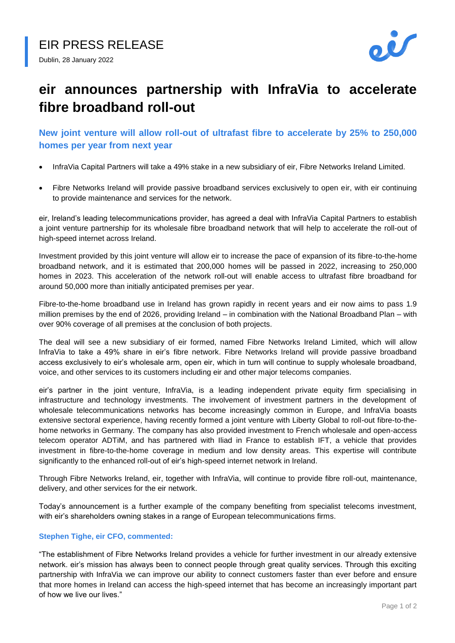

# **eir announces partnership with InfraVia to accelerate fibre broadband roll-out**

**New joint venture will allow roll-out of ultrafast fibre to accelerate by 25% to 250,000 homes per year from next year**

- InfraVia Capital Partners will take a 49% stake in a new subsidiary of eir, Fibre Networks Ireland Limited.
- Fibre Networks Ireland will provide passive broadband services exclusively to open eir, with eir continuing to provide maintenance and services for the network.

eir, Ireland's leading telecommunications provider, has agreed a deal with InfraVia Capital Partners to establish a joint venture partnership for its wholesale fibre broadband network that will help to accelerate the roll-out of high-speed internet across Ireland.

Investment provided by this joint venture will allow eir to increase the pace of expansion of its fibre-to-the-home broadband network, and it is estimated that 200,000 homes will be passed in 2022, increasing to 250,000 homes in 2023. This acceleration of the network roll-out will enable access to ultrafast fibre broadband for around 50,000 more than initially anticipated premises per year.

Fibre-to-the-home broadband use in Ireland has grown rapidly in recent years and eir now aims to pass 1.9 million premises by the end of 2026, providing Ireland – in combination with the National Broadband Plan – with over 90% coverage of all premises at the conclusion of both projects.

The deal will see a new subsidiary of eir formed, named Fibre Networks Ireland Limited, which will allow InfraVia to take a 49% share in eir's fibre network. Fibre Networks Ireland will provide passive broadband access exclusively to eir's wholesale arm, open eir, which in turn will continue to supply wholesale broadband, voice, and other services to its customers including eir and other major telecoms companies.

eir's partner in the joint venture, InfraVia, is a leading independent private equity firm specialising in infrastructure and technology investments. The involvement of investment partners in the development of wholesale telecommunications networks has become increasingly common in Europe, and InfraVia boasts extensive sectoral experience, having recently formed a joint venture with Liberty Global to roll-out fibre-to-thehome networks in Germany. The company has also provided investment to French wholesale and open-access telecom operator ADTiM, and has partnered with Iliad in France to establish IFT, a vehicle that provides investment in fibre-to-the-home coverage in medium and low density areas. This expertise will contribute significantly to the enhanced roll-out of eir's high-speed internet network in Ireland.

Through Fibre Networks Ireland, eir, together with InfraVia, will continue to provide fibre roll-out, maintenance, delivery, and other services for the eir network.

Today's announcement is a further example of the company benefiting from specialist telecoms investment, with eir's shareholders owning stakes in a range of European telecommunications firms.

## **Stephen Tighe, eir CFO, commented:**

"The establishment of Fibre Networks Ireland provides a vehicle for further investment in our already extensive network. eir's mission has always been to connect people through great quality services. Through this exciting partnership with InfraVia we can improve our ability to connect customers faster than ever before and ensure that more homes in Ireland can access the high-speed internet that has become an increasingly important part of how we live our lives."